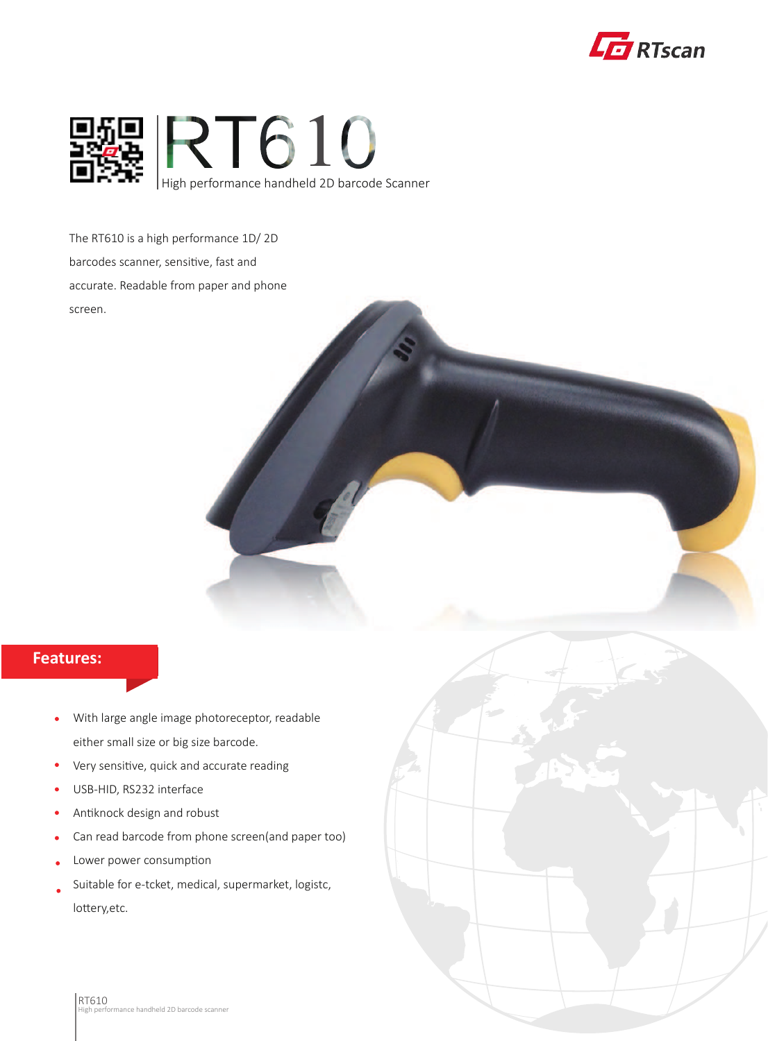



The RT610 is a high performance 1D/ 2D barcodes scanner, sensitive, fast and accurate. Readable from paper and phone screen.

## **Features:**

- With large angle image photoreceptor, readable  $\bullet$ either small size or big size barcode.
- Very sensitive, quick and accurate reading  $\bullet$
- USB-HID, RS232 interface  $\bullet$
- Antiknock design and robust  $\bullet$
- Can read barcode from phone screen(and paper too)
- Lower power consumption
- Suitable for e-tcket, medical, supermarket, logistc, lottery,etc.